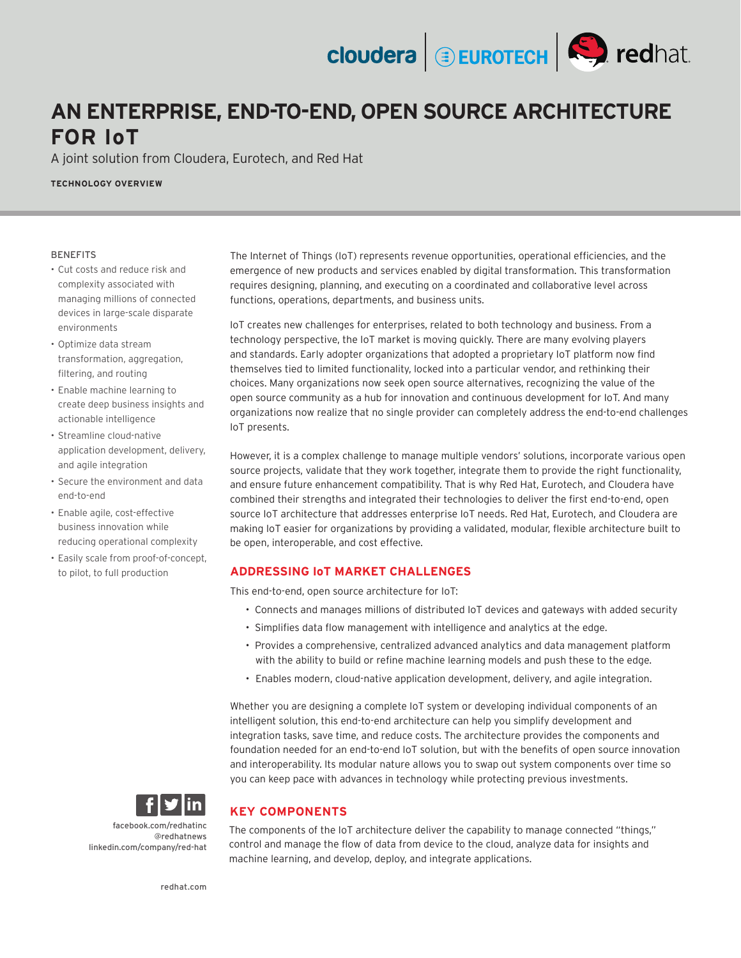# **AN ENTERPRISE, END-TO-END, OPEN SOURCE ARCHITECTURE FOR IoT**

A joint solution from Cloudera, Eurotech, and Red Hat

**TECHNOLOGY OVERVIEW**

#### BENEFITS

- Cut costs and reduce risk and complexity associated with managing millions of connected devices in large-scale disparate environments
- Optimize data stream transformation, aggregation, filtering, and routing
- Enable machine learning to create deep business insights and actionable intelligence
- Streamline cloud-native application development, delivery, and agile integration
- Secure the environment and data end-to-end
- Enable agile, cost-effective business innovation while reducing operational complexity
- Easily scale from proof-of-concept, to pilot, to full production

The Internet of Things (IoT) represents revenue opportunities, operational efficiencies, and the emergence of new products and services enabled by digital transformation. This transformation requires designing, planning, and executing on a coordinated and collaborative level across functions, operations, departments, and business units.

**cloudera DEUROTECH** Stredhat.

IoT creates new challenges for enterprises, related to both technology and business. From a technology perspective, the IoT market is moving quickly. There are many evolving players and standards. Early adopter organizations that adopted a proprietary IoT platform now find themselves tied to limited functionality, locked into a particular vendor, and rethinking their choices. Many organizations now seek open source alternatives, recognizing the value of the open source community as a hub for innovation and continuous development for IoT. And many organizations now realize that no single provider can completely address the end-to-end challenges IoT presents.

However, it is a complex challenge to manage multiple vendors' solutions, incorporate various open source projects, validate that they work together, integrate them to provide the right functionality, and ensure future enhancement compatibility. That is why Red Hat, Eurotech, and Cloudera have combined their strengths and integrated their technologies to deliver the first end-to-end, open source IoT architecture that addresses enterprise IoT needs. Red Hat, Eurotech, and Cloudera are making IoT easier for organizations by providing a validated, modular, flexible architecture built to be open, interoperable, and cost effective.

## **ADDRESSING IoT MARKET CHALLENGES**

This end-to-end, open source architecture for IoT:

- Connects and manages millions of distributed IoT devices and gateways with added security
- Simplifies data flow management with intelligence and analytics at the edge.
- Provides a comprehensive, centralized advanced analytics and data management platform with the ability to build or refine machine learning models and push these to the edge.
- Enables modern, cloud-native application development, delivery, and agile integration.

Whether you are designing a complete IoT system or developing individual components of an intelligent solution, this end-to-end architecture can help you simplify development and integration tasks, save time, and reduce costs. The architecture provides the components and foundation needed for an end-to-end IoT solution, but with the benefits of open source innovation and interoperability. Its modular nature allows you to swap out system components over time so you can keep pace with advances in technology while protecting previous investments.

## **KEY COMPONENTS**

[facebook.com/redhatinc](http://facebook.com/redhatinc ) [@redhatnews](https://twitter.com/redhatnews) [linkedin.com/company/red-hat](http://linkedin.com/company/red-hat )

The components of the IoT architecture deliver the capability to manage connected "things," control and manage the flow of data from device to the cloud, analyze data for insights and machine learning, and develop, deploy, and integrate applications.

[redhat.com](http://redhat.com )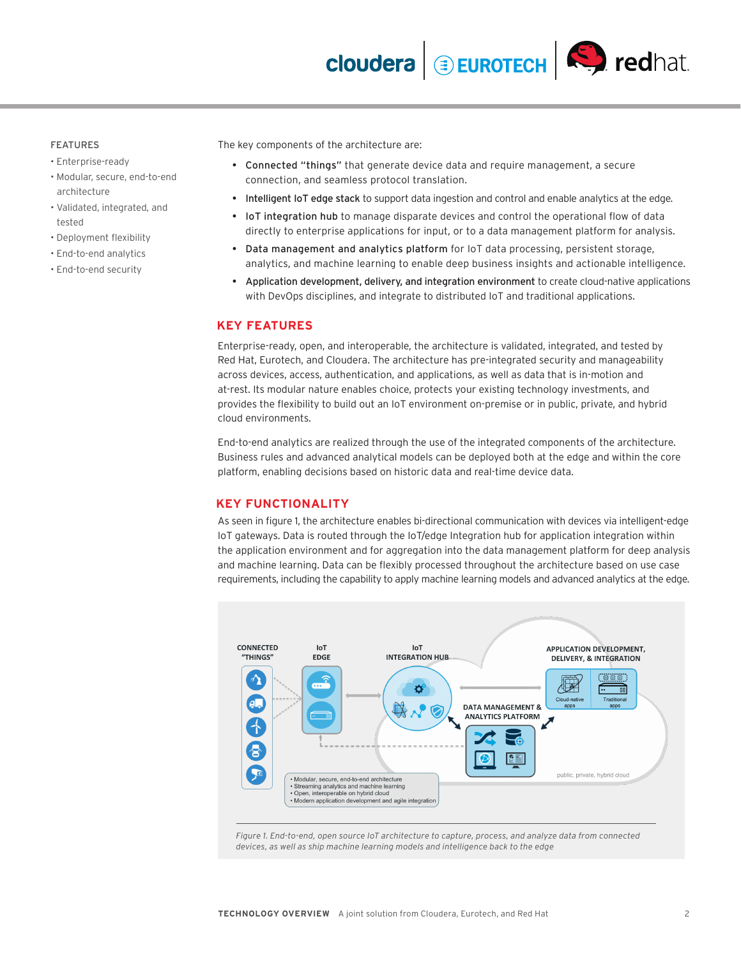#### FEATURES

- Enterprise-ready
- Modular, secure, end-to-end architecture
- Validated, integrated, and tested
- Deployment flexibility
- End-to-end analytics
- End-to-end security

The key components of the architecture are:

- Connected "things" that generate device data and require management, a secure connection, and seamless protocol translation.
- Intelligent IoT edge stack to support data ingestion and control and enable analytics at the edge.
- IoT integration hub to manage disparate devices and control the operational flow of data directly to enterprise applications for input, or to a data management platform for analysis.
- Data management and analytics platform for IoT data processing, persistent storage, analytics, and machine learning to enable deep business insights and actionable intelligence.
- Application development, delivery, and integration environment to create cloud-native applications with DevOps disciplines, and integrate to distributed IoT and traditional applications.

#### **KEY FEATURES**

Enterprise-ready, open, and interoperable, the architecture is validated, integrated, and tested by Red Hat, Eurotech, and Cloudera. The architecture has pre-integrated security and manageability across devices, access, authentication, and applications, as well as data that is in-motion and at-rest. Its modular nature enables choice, protects your existing technology investments, and provides the flexibility to build out an IoT environment on-premise or in public, private, and hybrid cloud environments.

End-to-end analytics are realized through the use of the integrated components of the architecture. Business rules and advanced analytical models can be deployed both at the edge and within the core platform, enabling decisions based on historic data and real-time device data.

#### **KEY FUNCTIONALITY**

As seen in figure 1, the architecture enables bi-directional communication with devices via intelligent-edge IoT gateways. Data is routed through the IoT/edge Integration hub for application integration within the application environment and for aggregation into the data management platform for deep analysis and machine learning. Data can be flexibly processed throughout the architecture based on use case requirements, including the capability to apply machine learning models and advanced analytics at the edge.



*Figure 1. End-to-end, open source IoT architecture to capture, process, and analyze data from connected devices, as well as ship machine learning models and intelligence back to the edge*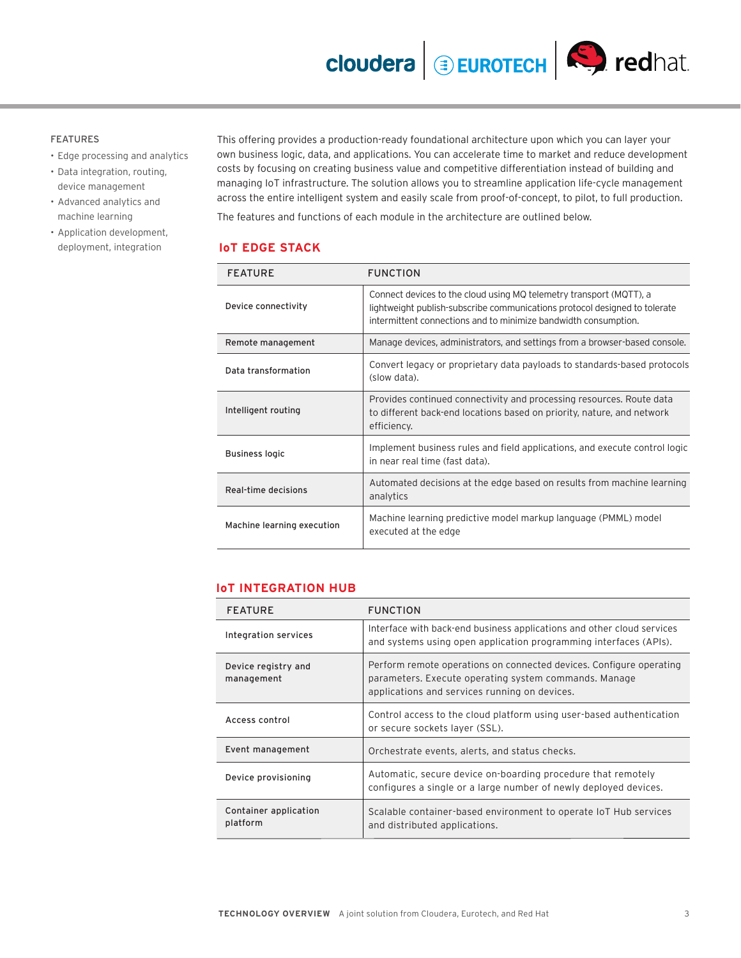**cloudera BEUROTECH S** redhat

## FEATURES

- Edge processing and analytics
- Data integration, routing, device management
- Advanced analytics and machine learning
- Application development, deployment, integration

This offering provides a production-ready foundational architecture upon which you can layer your own business logic, data, and applications. You can accelerate time to market and reduce development costs by focusing on creating business value and competitive differentiation instead of building and managing IoT infrastructure. The solution allows you to streamline application life-cycle management across the entire intelligent system and easily scale from proof-of-concept, to pilot, to full production.

The features and functions of each module in the architecture are outlined below.

## **IoT EDGE STACK**

| <b>FEATURE</b>             | <b>FUNCTION</b>                                                                                                                                                                                                      |
|----------------------------|----------------------------------------------------------------------------------------------------------------------------------------------------------------------------------------------------------------------|
| Device connectivity        | Connect devices to the cloud using MQ telemetry transport (MQTT), a<br>lightweight publish-subscribe communications protocol designed to tolerate<br>intermittent connections and to minimize bandwidth consumption. |
| Remote management          | Manage devices, administrators, and settings from a browser-based console.                                                                                                                                           |
| Data transformation        | Convert legacy or proprietary data payloads to standards-based protocols<br>(slow data).                                                                                                                             |
| Intelligent routing        | Provides continued connectivity and processing resources. Route data<br>to different back-end locations based on priority, nature, and network<br>efficiency.                                                        |
| <b>Business logic</b>      | Implement business rules and field applications, and execute control logic<br>in near real time (fast data).                                                                                                         |
| Real-time decisions        | Automated decisions at the edge based on results from machine learning<br>analytics                                                                                                                                  |
| Machine learning execution | Machine learning predictive model markup language (PMML) model<br>executed at the edge                                                                                                                               |

### **IoT INTEGRATION HUB**

| <b>FEATURE</b>                    | <b>FUNCTION</b>                                                                                                                                                               |
|-----------------------------------|-------------------------------------------------------------------------------------------------------------------------------------------------------------------------------|
| Integration services              | Interface with back-end business applications and other cloud services<br>and systems using open application programming interfaces (APIs).                                   |
| Device registry and<br>management | Perform remote operations on connected devices. Configure operating<br>parameters. Execute operating system commands. Manage<br>applications and services running on devices. |
| Access control                    | Control access to the cloud platform using user-based authentication<br>or secure sockets layer (SSL).                                                                        |
| Event management                  | Orchestrate events, alerts, and status checks.                                                                                                                                |
| Device provisioning               | Automatic, secure device on-boarding procedure that remotely<br>configures a single or a large number of newly deployed devices.                                              |
| Container application<br>platform | Scalable container-based environment to operate IoT Hub services<br>and distributed applications.                                                                             |